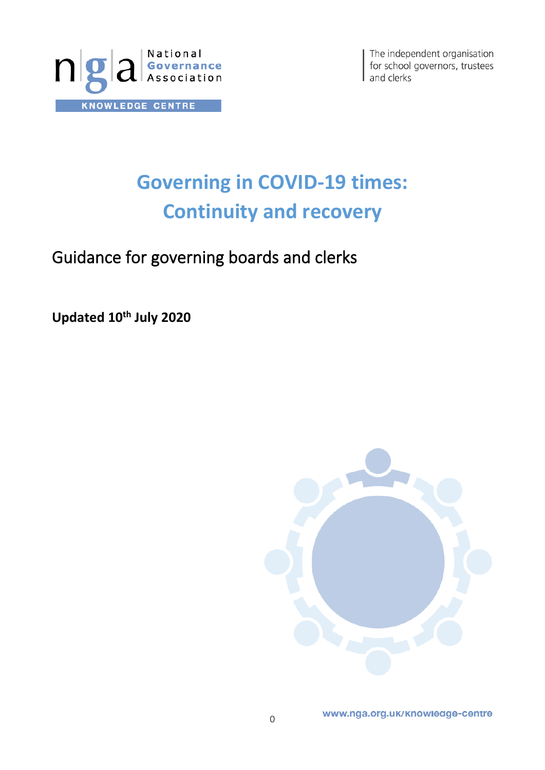

The independent organisation for school governors, trustees and clerks

# **Governing in COVID-19 times: Continuity and recovery**

Guidance for governing boards and clerks

**Updated 10th July 2020**

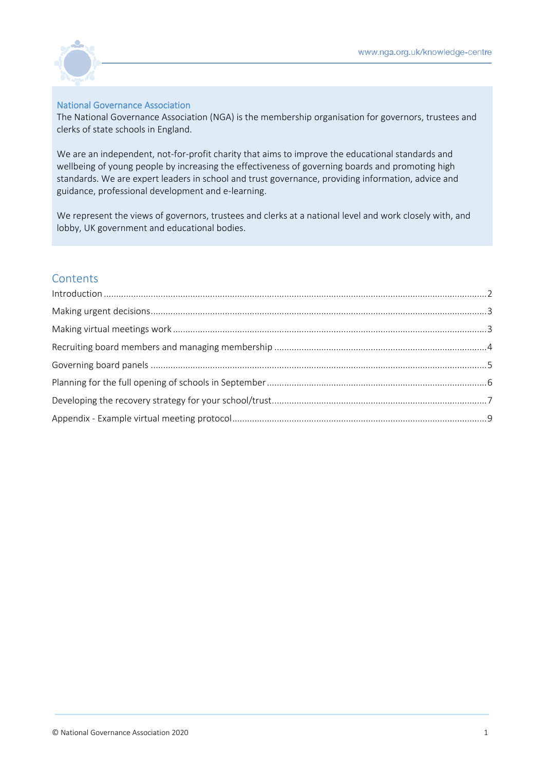

## National Governance Association

The National Governance Association (NGA) is the membership organisation for governors, trustees and clerks of state schools in England.

We are an independent, not-for-profit charity that aims to improve the educational standards and wellbeing of young people by increasing the effectiveness of governing boards and promoting high standards. We are expert leaders in school and trust governance, providing information, advice and guidance, professional development and e-learning.

We represent the views of governors, trustees and clerks at a national level and work closely with, and lobby, UK government and educational bodies.

## **Contents**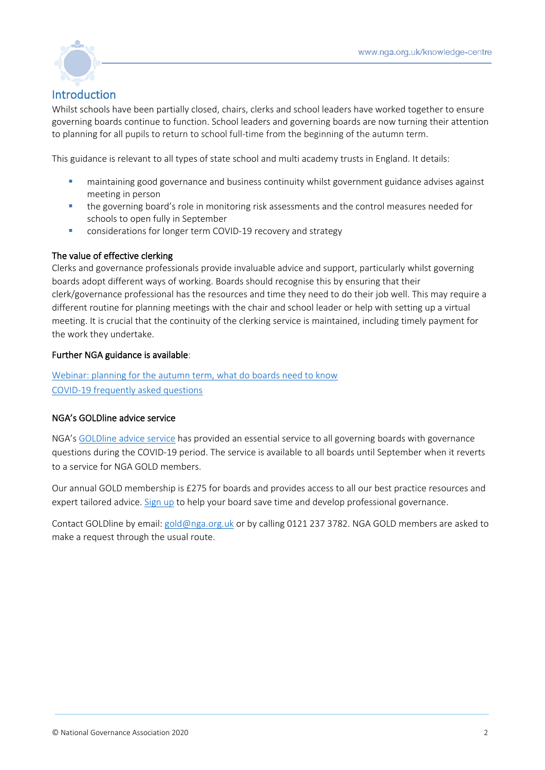

# <span id="page-2-0"></span>Introduction

Whilst schools have been partially closed, chairs, clerks and school leaders have worked together to ensure governing boards continue to function. School leaders and governing boards are now turning their attention to planning for all pupils to return to school full-time from the beginning of the autumn term.

This guidance is relevant to all types of state school and multi academy trusts in England. It details:

- maintaining good governance and business continuity whilst government guidance advises against meeting in person
- **•** the governing board's role in monitoring risk assessments and the control measures needed for schools to open fully in September
- considerations for longer term COVID-19 recovery and strategy

## The value of effective clerking

Clerks and governance professionals provide invaluable advice and support, particularly whilst governing boards adopt different ways of working. Boards should recognise this by ensuring that their clerk/governance professional has the resources and time they need to do their job well. This may require a different routine for planning meetings with the chair and school leader or help with setting up a virtual meeting. It is crucial that the continuity of the clerking service is maintained, including timely payment for the work they undertake.

## Further NGA guidance is available:

[Webinar: planning for the autumn term, what do boards need to know](https://www.nga.org.uk/News/Webinars.aspx) [COVID-19 frequently asked questions](https://www.nga.org.uk/Knowledge-Centre/Executive-leaders-and-the-governing-boards/Frequently-Asked-Questions-on-Coronavirus-(COVID-1.aspx)

## NGA's GOLDline advice service

NGA's [GOLDline advice service](http://www.nga.org.uk/Membership/GOLDline-The-NGA-Advice-service.aspx) has provided an essential service to all governing boards with governance questions during the COVID-19 period. The service is available to all boards until September when it reverts to a service for NGA GOLD members.

Our annual GOLD membership is £275 for boards and provides access to all our best practice resources and expert tailored advice. [Sign up](https://www.nga.org.uk/Membership/Membership-types/GOLD-Governing-Board.aspx) to help your board save time and develop professional governance.

Contact GOLDline by email: [gold@nga.org.uk](mailto:gold@nga.org.uk) or by calling 0121 237 3782. NGA GOLD members are asked to make a request through the usual route.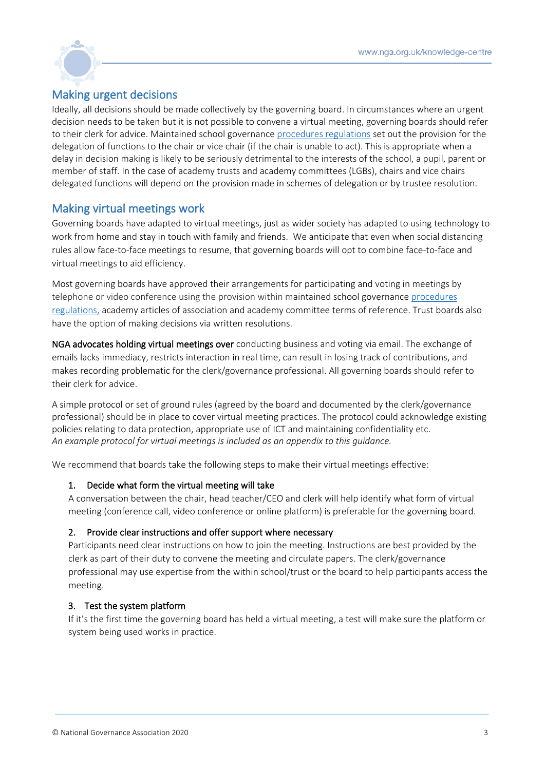

## <span id="page-3-0"></span>Making urgent decisions

Ideally, all decisions should be made collectively by the governing board. In circumstances where an urgent decision needs to be taken but it is not possible to convene a virtual meeting, governing boards should refer to their clerk for advice. Maintained school governance [procedures regulations](http://www.legislation.gov.uk/uksi/2013/1624/regulation/8/made) set out the provision for the delegation of functions to the chair or vice chair (if the chair is unable to act). This is appropriate when a delay in decision making is likely to be seriously detrimental to the interests of the school, a pupil, parent or member of staff. In the case of academy trusts and academy committees (LGBs), chairs and vice chairs delegated functions will depend on the provision made in schemes of delegation or by trustee resolution.

## <span id="page-3-1"></span>Making virtual meetings work

Governing boards have adapted to virtual meetings, just as wider society has adapted to using technology to work from home and stay in touch with family and friends. We anticipate that even when social distancing rules allow face-to-face meetings to resume, that governing boards will opt to combine face-to-face and virtual meetings to aid efficiency.

Most governing boards have approved their arrangements for participating and voting in meetings by telephone or video conference using the provision within maintained school governance [procedures](http://www.legislation.gov.uk/uksi/2013/1624/regulation/8/made)  [regulations,](http://www.legislation.gov.uk/uksi/2013/1624/regulation/8/made) academy articles of association and academy committee terms of reference. Trust boards also have the option of making decisions via written resolutions.

NGA advocates holding virtual meetings over conducting business and voting via email. The exchange of emails lacks immediacy, restricts interaction in real time, can result in losing track of contributions, and makes recording problematic for the clerk/governance professional. All governing boards should refer to their clerk for advice.

A simple protocol or set of ground rules (agreed by the board and documented by the clerk/governance professional) should be in place to cover virtual meeting practices. The protocol could acknowledge existing policies relating to data protection, appropriate use of ICT and maintaining confidentiality etc. *An example protocol for virtual meetings is included as an appendix to this guidance.*

We recommend that boards take the following steps to make their virtual meetings effective:

## 1. Decide what form the virtual meeting will take

A conversation between the chair, head teacher/CEO and clerk will help identify what form of virtual meeting (conference call, video conference or online platform) is preferable for the governing board.

## 2. Provide clear instructions and offer support where necessary

Participants need clear instructions on how to join the meeting. Instructions are best provided by the clerk as part of their duty to convene the meeting and circulate papers. The clerk/governance professional may use expertise from the within school/trust or the board to help participants access the meeting.

## 3. Test the system platform

If it's the first time the governing board has held a virtual meeting, a test will make sure the platform or system being used works in practice.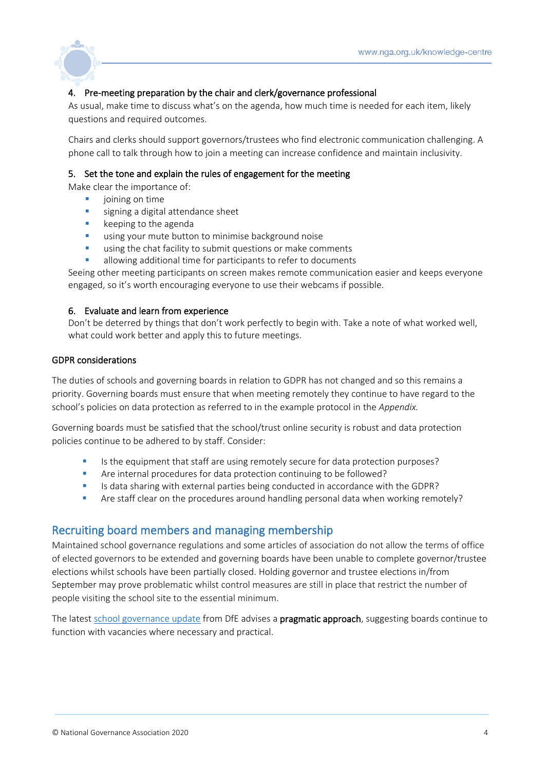

## 4. Pre-meeting preparation by the chair and clerk/governance professional

As usual, make time to discuss what's on the agenda, how much time is needed for each item, likely questions and required outcomes.

Chairs and clerks should support governors/trustees who find electronic communication challenging. A phone call to talk through how to join a meeting can increase confidence and maintain inclusivity.

## 5. Set the tone and explain the rules of engagement for the meeting

Make clear the importance of:

- joining on time
- signing a digital attendance sheet
- keeping to the agenda
- using your mute button to minimise background noise
- using the chat facility to submit questions or make comments
- allowing additional time for participants to refer to documents

Seeing other meeting participants on screen makes remote communication easier and keeps everyone engaged, so it's worth encouraging everyone to use their webcams if possible.

## 6. Evaluate and learn from experience

Don't be deterred by things that don't work perfectly to begin with. Take a note of what worked well, what could work better and apply this to future meetings.

## GDPR considerations

The duties of schools and governing boards in relation to GDPR has not changed and so this remains a priority. Governing boards must ensure that when meeting remotely they continue to have regard to the school's policies on data protection as referred to in the example protocol in the *Appendix.*

Governing boards must be satisfied that the school/trust online security is robust and data protection policies continue to be adhered to by staff. Consider:

- Is the equipment that staff are using remotely secure for data protection purposes?
- Are internal procedures for data protection continuing to be followed?
- **■** Is data sharing with external parties being conducted in accordance with the GDPR?
- Are staff clear on the procedures around handling personal data when working remotely?

## <span id="page-4-0"></span>Recruiting board members and managing membership

Maintained school governance regulations and some articles of association do not allow the terms of office of elected governors to be extended and governing boards have been unable to complete governor/trustee elections whilst schools have been partially closed. Holding governor and trustee elections in/from September may prove problematic whilst control measures are still in place that restrict the number of people visiting the school site to the essential minimum.

The latest [school governance update](https://www.gov.uk/government/publications/school-governance-update/school-governance-coronavirus-covid-19-june-update--2) from DfE advises a pragmatic approach, suggesting boards continue to function with vacancies where necessary and practical.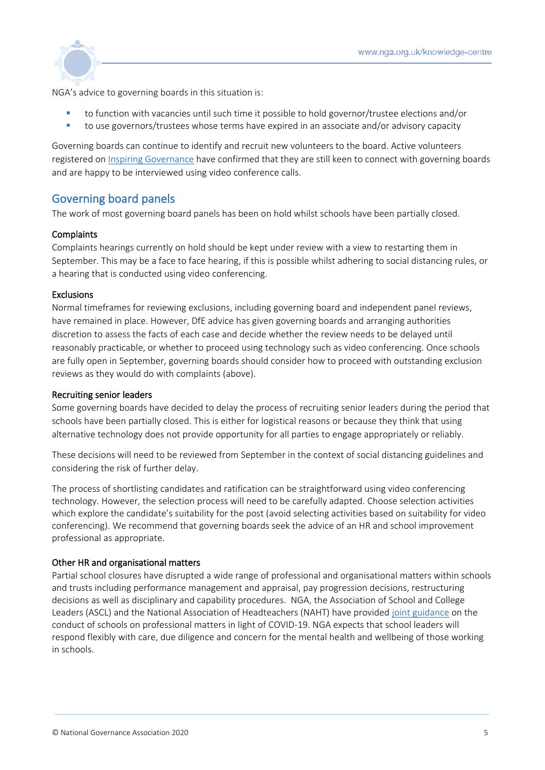

NGA's advice to governing boards in this situation is:

- to function with vacancies until such time it possible to hold governor/trustee elections and/or
- to use governors/trustees whose terms have expired in an associate and/or advisory capacity

Governing boards can continue to identify and recruit new volunteers to the board. Active volunteers registered on [Inspiring Governance](https://www.inspiringgovernance.org/recruiting-governors/) have confirmed that they are still keen to connect with governing boards and are happy to be interviewed using video conference calls.

## <span id="page-5-0"></span>Governing board panels

The work of most governing board panels has been on hold whilst schools have been partially closed.

## **Complaints**

Complaints hearings currently on hold should be kept under review with a view to restarting them in September. This may be a face to face hearing, if this is possible whilst adhering to social distancing rules, or a hearing that is conducted using video conferencing.

## Exclusions

Normal timeframes for reviewing exclusions, including governing board and independent panel reviews, have remained in place. However, DfE advice has given governing boards and arranging authorities discretion to assess the facts of each case and decide whether the review needs to be delayed until reasonably practicable, or whether to proceed using technology such as video conferencing. Once schools are fully open in September, governing boards should consider how to proceed with outstanding exclusion reviews as they would do with complaints (above).

## Recruiting senior leaders

Some governing boards have decided to delay the process of recruiting senior leaders during the period that schools have been partially closed. This is either for logistical reasons or because they think that using alternative technology does not provide opportunity for all parties to engage appropriately or reliably.

These decisions will need to be reviewed from September in the context of social distancing guidelines and considering the risk of further delay.

The process of shortlisting candidates and ratification can be straightforward using video conferencing technology. However, the selection process will need to be carefully adapted. Choose selection activities which explore the candidate's suitability for the post (avoid selecting activities based on suitability for video conferencing). We recommend that governing boards seek the advice of an HR and school improvement professional as appropriate.

## Other HR and organisational matters

Partial school closures have disrupted a wide range of professional and organisational matters within schools and trusts including performance management and appraisal, pay progression decisions, restructuring decisions as well as disciplinary and capability procedures. NGA, the Association of School and College Leaders (ASCL) and the National Association of Headteachers (NAHT) have provided [joint guidance](https://www.nga.org.uk/getmedia/88c9f00b-a84f-4946-b960-e7a3bc401b77/NAHT-ASCL-NGA-guidance-on-the-conduct-of-schools-in-light-of-the-pandemic-Final_1.pdf) on the conduct of schools on professional matters in light of COVID-19. NGA expects that school leaders will respond flexibly with care, due diligence and concern for the mental health and wellbeing of those working in schools.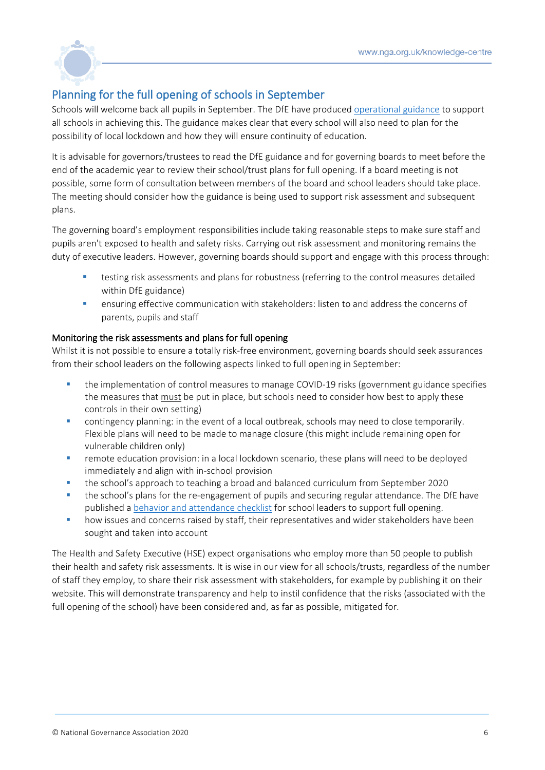

# <span id="page-6-0"></span>Planning for the full opening of schools in September

Schools will welcome back all pupils in September. The DfE have produced [operational guidance](https://www.gov.uk/government/publications/actions-for-schools-during-the-coronavirus-outbreak/guidance-for-full-opening-schools) to support all schools in achieving this. The guidance makes clear that every school will also need to plan for the possibility of local lockdown and how they will ensure continuity of education.

It is advisable for governors/trustees to read the DfE guidance and for governing boards to meet before the end of the academic year to review their school/trust plans for full opening. If a board meeting is not possible, some form of consultation between members of the board and school leaders should take place. The meeting should consider how the guidance is being used to support risk assessment and subsequent plans.

The governing board's employment responsibilities include taking reasonable steps to make sure staff and pupils aren't exposed to health and safety risks. Carrying out risk assessment and monitoring remains the duty of executive leaders. However, governing boards should support and engage with this process through:

- testing risk assessments and plans for robustness (referring to the control measures detailed within DfE guidance)
- **•** ensuring effective communication with stakeholders: listen to and address the concerns of parents, pupils and staff

## Monitoring the risk assessments and plans for full opening

Whilst it is not possible to ensure a totally risk-free environment, governing boards should seek assurances from their school leaders on the following aspects linked to full opening in September:

- the implementation of control measures to manage COVID-19 risks (government guidance specifies the measures that must be put in place, but schools need to consider how best to apply these controls in their own setting)
- **E** contingency planning: in the event of a local outbreak, schools may need to close temporarily. Flexible plans will need to be made to manage closure (this might include remaining open for vulnerable children only)
- **•** remote education provision: in a local lockdown scenario, these plans will need to be deployed immediately and align with in-school provision
- the school's approach to teaching a broad and balanced curriculum from September 2020
- **•** the school's plans for the re-engagement of pupils and securing regular attendance. The DfE have published a [behavior and attendance checklist](https://assets.publishing.service.gov.uk/government/uploads/system/uploads/attachment_data/file/899384/Checklist_for_school_leaders_on_behaviour_and_attendance.pdf) for school leaders to support full opening.
- how issues and concerns raised by staff, their representatives and wider stakeholders have been sought and taken into account

The Health and Safety Executive (HSE) expect organisations who employ more than 50 people to publish their health and safety risk assessments. It is wise in our view for all schools/trusts, regardless of the number of staff they employ, to share their risk assessment with stakeholders, for example by publishing it on their website. This will demonstrate transparency and help to instil confidence that the risks (associated with the full opening of the school) have been considered and, as far as possible, mitigated for.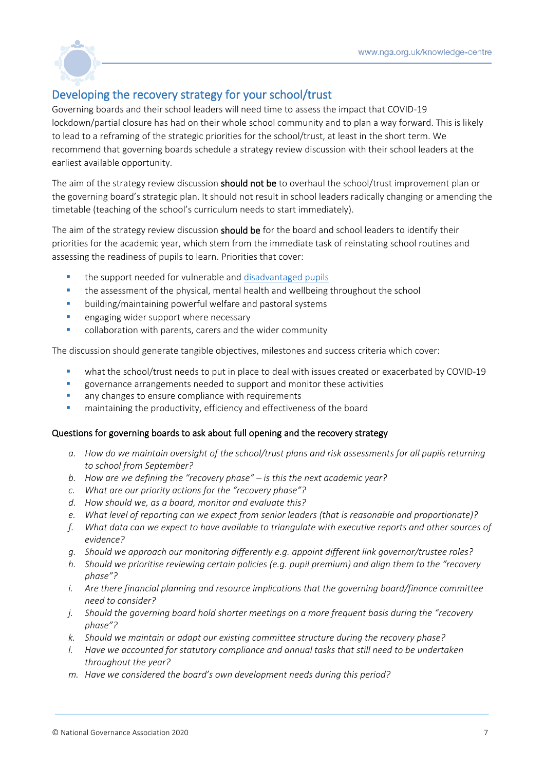

# <span id="page-7-0"></span>Developing the recovery strategy for your school/trust

Governing boards and their school leaders will need time to assess the impact that COVID-19 lockdown/partial closure has had on their whole school community and to plan a way forward. This is likely to lead to a reframing of the strategic priorities for the school/trust, at least in the short term. We recommend that governing boards schedule a strategy review discussion with their school leaders at the earliest available opportunity.

The aim of the strategy review discussion **should not be** to overhaul the school/trust improvement plan or the governing board's strategic plan. It should not result in school leaders radically changing or amending the timetable (teaching of the school's curriculum needs to start immediately).

The aim of the strategy review discussion should be for the board and school leaders to identify their priorities for the academic year, which stem from the immediate task of reinstating school routines and assessing the readiness of pupils to learn. Priorities that cover:

- the support needed for vulnerable and disadvantaged pupils
- **•** the assessment of the physical, mental health and wellbeing throughout the school
- building/maintaining powerful welfare and pastoral systems
- **E** engaging wider support where necessary
- collaboration with parents, carers and the wider community

The discussion should generate tangible objectives, milestones and success criteria which cover:

- what the school/trust needs to put in place to deal with issues created or exacerbated by COVID-19
- governance arrangements needed to support and monitor these activities
- any changes to ensure compliance with requirements
- maintaining the productivity, efficiency and effectiveness of the board

## Questions for governing boards to ask about full opening and the recovery strategy

- *a. How do we maintain oversight of the school/trust plans and risk assessments for all pupils returning to school from September?*
- *b. How are we defining the "recovery phase" – is this the next academic year?*
- *c. What are our priority actions for the "recovery phase"?*
- *d. How should we, as a board, monitor and evaluate this?*
- *e. What level of reporting can we expect from senior leaders (that is reasonable and proportionate)?*
- *f. What data can we expect to have available to triangulate with executive reports and other sources of evidence?*
- *g. Should we approach our monitoring differently e.g. appoint different link governor/trustee roles?*
- *h. Should we prioritise reviewing certain policies (e.g. pupil premium) and align them to the "recovery phase"?*
- *i. Are there financial planning and resource implications that the governing board/finance committee need to consider?*
- *j. Should the governing board hold shorter meetings on a more frequent basis during the "recovery phase"?*
- *k. Should we maintain or adapt our existing committee structure during the recovery phase?*
- *l. Have we accounted for statutory compliance and annual tasks that still need to be undertaken throughout the year?*
- *m. Have we considered the board's own development needs during this period?*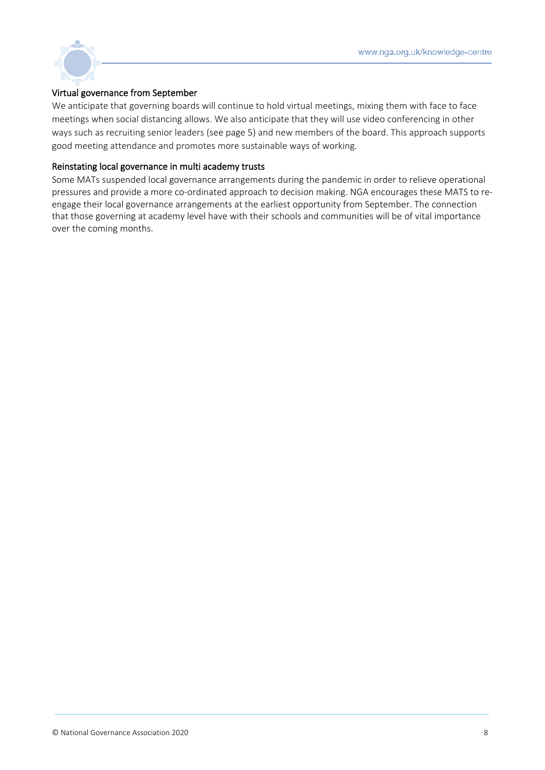

## Virtual governance from September

We anticipate that governing boards will continue to hold virtual meetings, mixing them with face to face meetings when social distancing allows. We also anticipate that they will use video conferencing in other ways such as recruiting senior leaders (see page 5) and new members of the board. This approach supports good meeting attendance and promotes more sustainable ways of working.

## Reinstating local governance in multi academy trusts

Some MATs suspended local governance arrangements during the pandemic in order to relieve operational pressures and provide a more co-ordinated approach to decision making. NGA encourages these MATS to reengage their local governance arrangements at the earliest opportunity from September. The connection that those governing at academy level have with their schools and communities will be of vital importance over the coming months.